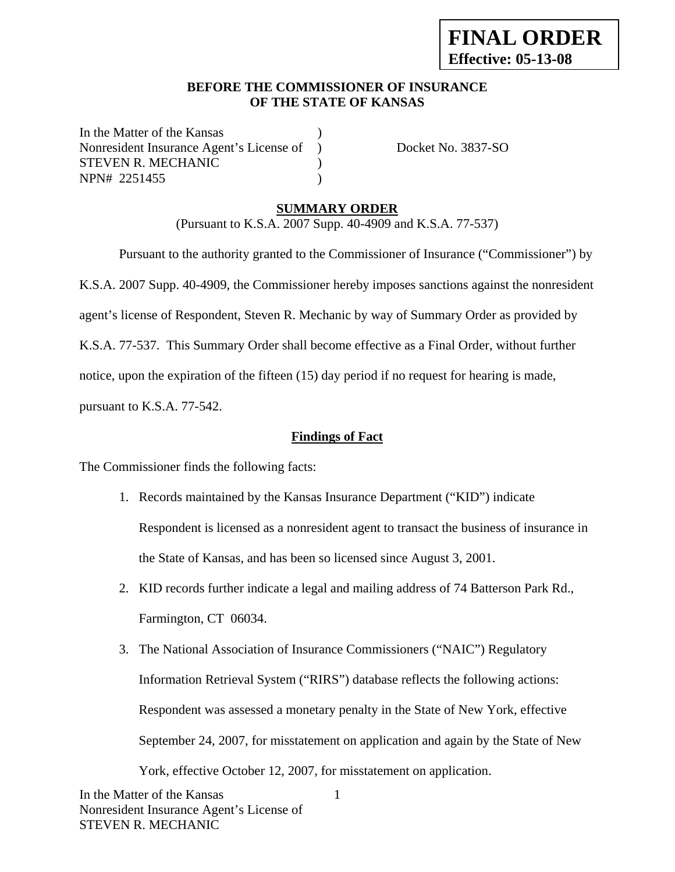### **BEFORE THE COMMISSIONER OF INSURANCE OF THE STATE OF KANSAS**

In the Matter of the Kansas Nonresident Insurance Agent's License of ) Docket No. 3837-SO STEVEN R. MECHANIC (1997) NPN# 2251455 )

## **SUMMARY ORDER**

(Pursuant to K.S.A. 2007 Supp. 40-4909 and K.S.A. 77-537)

 Pursuant to the authority granted to the Commissioner of Insurance ("Commissioner") by K.S.A. 2007 Supp. 40-4909, the Commissioner hereby imposes sanctions against the nonresident agent's license of Respondent, Steven R. Mechanic by way of Summary Order as provided by K.S.A. 77-537. This Summary Order shall become effective as a Final Order, without further notice, upon the expiration of the fifteen (15) day period if no request for hearing is made, pursuant to K.S.A. 77-542.

## **Findings of Fact**

The Commissioner finds the following facts:

- 1. Records maintained by the Kansas Insurance Department ("KID") indicate Respondent is licensed as a nonresident agent to transact the business of insurance in the State of Kansas, and has been so licensed since August 3, 2001.
- 2. KID records further indicate a legal and mailing address of 74 Batterson Park Rd., Farmington, CT 06034.
- 3. The National Association of Insurance Commissioners ("NAIC") Regulatory Information Retrieval System ("RIRS") database reflects the following actions: Respondent was assessed a monetary penalty in the State of New York, effective September 24, 2007, for misstatement on application and again by the State of New York, effective October 12, 2007, for misstatement on application.

1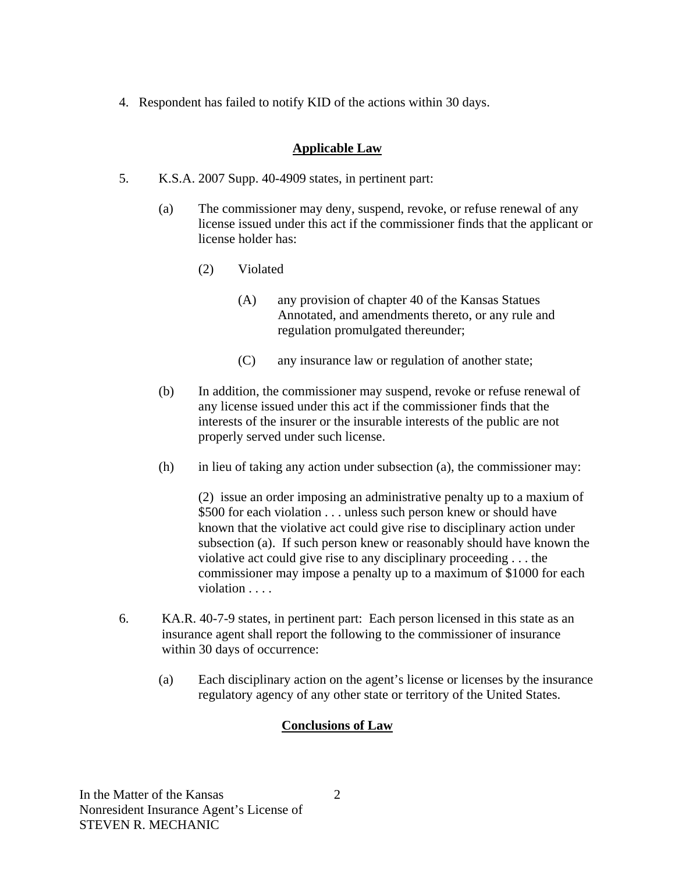4. Respondent has failed to notify KID of the actions within 30 days.

## **Applicable Law**

- 5. K.S.A. 2007 Supp. 40-4909 states, in pertinent part:
	- (a) The commissioner may deny, suspend, revoke, or refuse renewal of any license issued under this act if the commissioner finds that the applicant or license holder has:
		- (2) Violated
			- (A) any provision of chapter 40 of the Kansas Statues Annotated, and amendments thereto, or any rule and regulation promulgated thereunder;
			- (C) any insurance law or regulation of another state;
	- (b) In addition, the commissioner may suspend, revoke or refuse renewal of any license issued under this act if the commissioner finds that the interests of the insurer or the insurable interests of the public are not properly served under such license.
	- (h) in lieu of taking any action under subsection (a), the commissioner may:

(2) issue an order imposing an administrative penalty up to a maxium of \$500 for each violation . . . unless such person knew or should have known that the violative act could give rise to disciplinary action under subsection (a). If such person knew or reasonably should have known the violative act could give rise to any disciplinary proceeding . . . the commissioner may impose a penalty up to a maximum of \$1000 for each violation . . . .

- 6. KA.R. 40-7-9 states, in pertinent part: Each person licensed in this state as an insurance agent shall report the following to the commissioner of insurance within 30 days of occurrence:
	- (a) Each disciplinary action on the agent's license or licenses by the insurance regulatory agency of any other state or territory of the United States.

# **Conclusions of Law**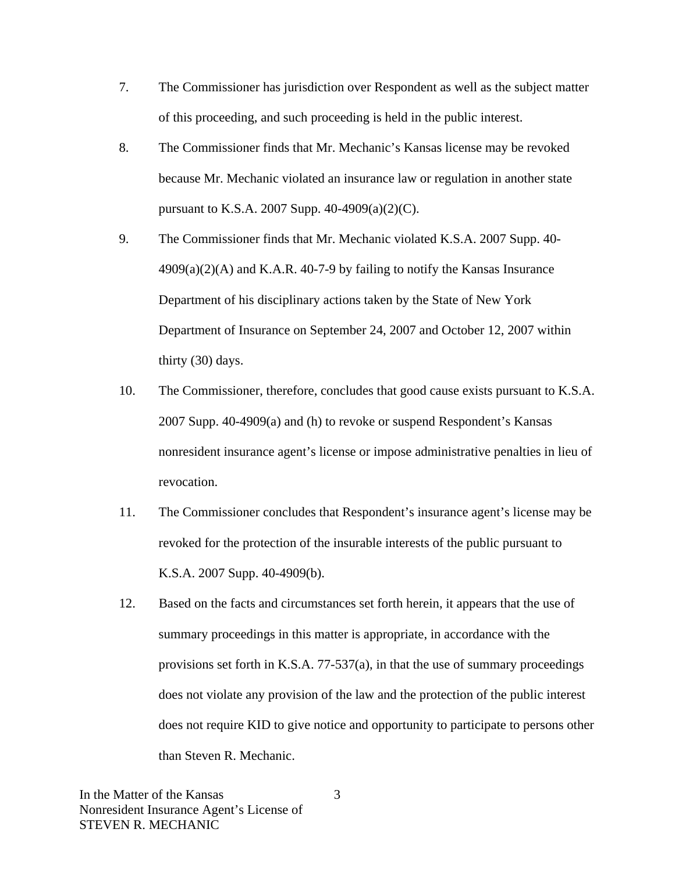- 7. The Commissioner has jurisdiction over Respondent as well as the subject matter of this proceeding, and such proceeding is held in the public interest.
- 8. The Commissioner finds that Mr. Mechanic's Kansas license may be revoked because Mr. Mechanic violated an insurance law or regulation in another state pursuant to K.S.A. 2007 Supp. 40-4909(a)(2)(C).
- 9. The Commissioner finds that Mr. Mechanic violated K.S.A. 2007 Supp. 40-  $4909(a)(2)$ (A) and K.A.R. 40-7-9 by failing to notify the Kansas Insurance Department of his disciplinary actions taken by the State of New York Department of Insurance on September 24, 2007 and October 12, 2007 within thirty (30) days.
- 10. The Commissioner, therefore, concludes that good cause exists pursuant to K.S.A. 2007 Supp. 40-4909(a) and (h) to revoke or suspend Respondent's Kansas nonresident insurance agent's license or impose administrative penalties in lieu of revocation.
- 11. The Commissioner concludes that Respondent's insurance agent's license may be revoked for the protection of the insurable interests of the public pursuant to K.S.A. 2007 Supp. 40-4909(b).
- 12. Based on the facts and circumstances set forth herein, it appears that the use of summary proceedings in this matter is appropriate, in accordance with the provisions set forth in K.S.A. 77-537(a), in that the use of summary proceedings does not violate any provision of the law and the protection of the public interest does not require KID to give notice and opportunity to participate to persons other than Steven R. Mechanic.

3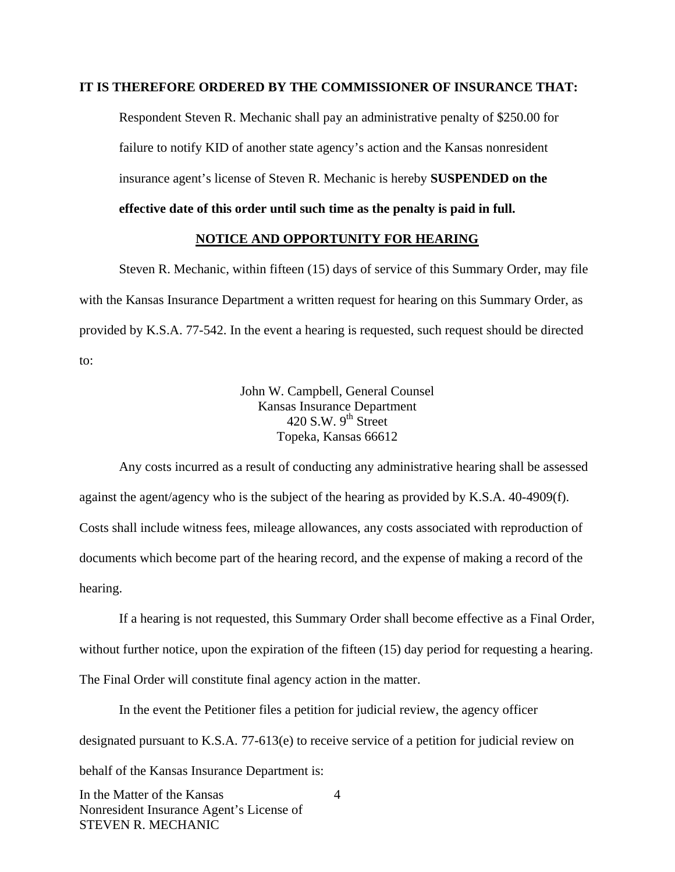#### **IT IS THEREFORE ORDERED BY THE COMMISSIONER OF INSURANCE THAT:**

Respondent Steven R. Mechanic shall pay an administrative penalty of \$250.00 for failure to notify KID of another state agency's action and the Kansas nonresident insurance agent's license of Steven R. Mechanic is hereby **SUSPENDED on the effective date of this order until such time as the penalty is paid in full.** 

#### **NOTICE AND OPPORTUNITY FOR HEARING**

Steven R. Mechanic, within fifteen (15) days of service of this Summary Order, may file with the Kansas Insurance Department a written request for hearing on this Summary Order, as provided by K.S.A. 77-542. In the event a hearing is requested, such request should be directed to:

> John W. Campbell, General Counsel Kansas Insurance Department 420 S.W.  $9^{th}$  Street Topeka, Kansas 66612

Any costs incurred as a result of conducting any administrative hearing shall be assessed against the agent/agency who is the subject of the hearing as provided by K.S.A. 40-4909(f). Costs shall include witness fees, mileage allowances, any costs associated with reproduction of documents which become part of the hearing record, and the expense of making a record of the hearing.

If a hearing is not requested, this Summary Order shall become effective as a Final Order, without further notice, upon the expiration of the fifteen (15) day period for requesting a hearing. The Final Order will constitute final agency action in the matter.

In the event the Petitioner files a petition for judicial review, the agency officer designated pursuant to K.S.A. 77-613(e) to receive service of a petition for judicial review on behalf of the Kansas Insurance Department is:

In the Matter of the Kansas Nonresident Insurance Agent's License of STEVEN R. MECHANIC 4